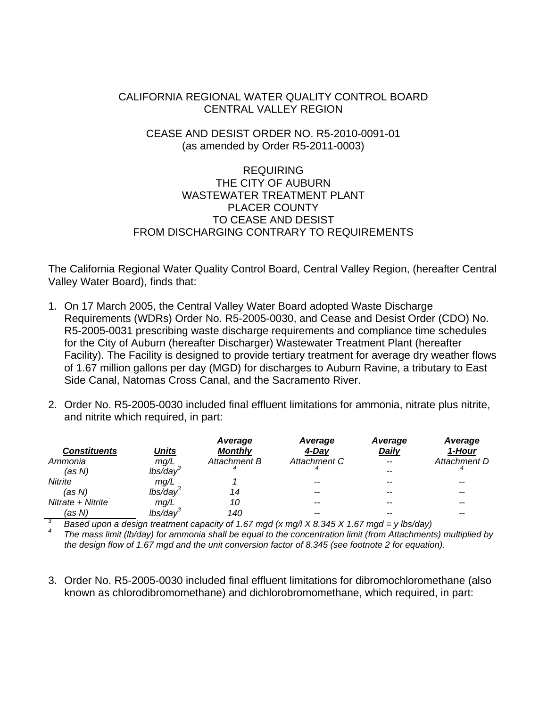# CALIFORNIA REGIONAL WATER QUALITY CONTROL BOARD CENTRAL VALLEY REGION

# CEASE AND DESIST ORDER NO. R5-2010-0091-01 (as amended by Order R5-2011-0003)

# REQUIRING THE CITY OF AUBURN WASTEWATER TREATMENT PLANT PLACER COUNTY TO CEASE AND DESIST FROM DISCHARGING CONTRARY TO REQUIREMENTS

The California Regional Water Quality Control Board, Central Valley Region, (hereafter Central Valley Water Board), finds that:

- 1. On 17 March 2005, the Central Valley Water Board adopted Waste Discharge Requirements (WDRs) Order No. R5-2005-0030, and Cease and Desist Order (CDO) No. R5-2005-0031 prescribing waste discharge requirements and compliance time schedules for the City of Auburn (hereafter Discharger) Wastewater Treatment Plant (hereafter Facility). The Facility is designed to provide tertiary treatment for average dry weather flows of 1.67 million gallons per day (MGD) for discharges to Auburn Ravine, a tributary to East Side Canal, Natomas Cross Canal, and the Sacramento River.
- 2. Order No. R5-2005-0030 included final effluent limitations for ammonia, nitrate plus nitrite, and nitrite which required, in part:

| <b>Constituents</b> | Units       | Average<br><b>Monthly</b> | Average<br>4-Day                                                                         | Average<br>Daily | Average<br>1-Hour |
|---------------------|-------------|---------------------------|------------------------------------------------------------------------------------------|------------------|-------------------|
|                     |             |                           |                                                                                          |                  |                   |
| Ammonia             | mq/L        | Attachment B              | Attachment C                                                                             |                  | Attachment D      |
| (as N)              | $lbs/day^3$ |                           |                                                                                          |                  |                   |
| <b>Nitrite</b>      | mq/L        |                           | --                                                                                       |                  |                   |
| (as N)              | lbs/dav     |                           | --                                                                                       |                  | $- -$             |
| Nitrate + Nitrite   | mq/L        | 10                        | --                                                                                       |                  | --                |
| (as N)              | lbs/dav     | 140                       | --                                                                                       |                  | --                |
| -3                  |             |                           | Board upon a decime tractment consoluted 1.67 mod (v mall V.0.345 V.1.67 mod., ulholdou) |                  |                   |

 $^3$  Based upon a design treatment capacity of 1.67 mgd (x mg/l X 8.345 X 1.67 mgd = y lbs/day)  $^4$  The mese limit (lb/day) for emmenie shell be equal to the concentration limit (from Attenbrant)

 *The mass limit (lb/day) for ammonia shall be equal to the concentration limit (from Attachments) multiplied by the design flow of 1.67 mgd and the unit conversion factor of 8.345 (see footnote 2 for equation).* 

3. Order No. R5-2005-0030 included final effluent limitations for dibromochloromethane (also known as chlorodibromomethane) and dichlorobromomethane, which required, in part: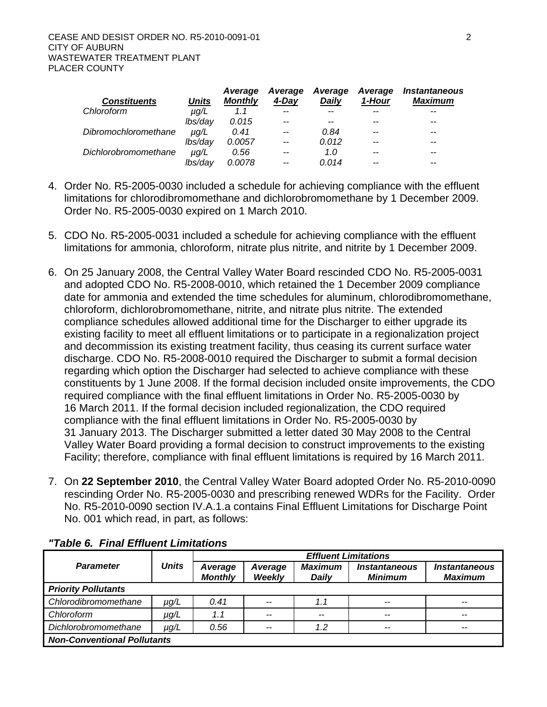| <b>Constituents</b>  | <b>Units</b> | Average<br><b>Monthly</b> | Average<br>4-Dav | Average<br>Dailv | Average<br>1-Hour | <i><b>Instantaneous</b></i><br>Maximum |
|----------------------|--------------|---------------------------|------------------|------------------|-------------------|----------------------------------------|
| Chloroform           | µg/L         | 1.1                       | $- -$            |                  |                   |                                        |
|                      | lbs/day      | 0.015                     | --               |                  | $- -$             |                                        |
| Dibromochloromethane | $\mu q/L$    | 0.41                      | --               | 0.84             | $- -$             |                                        |
|                      | lbs/day      | 0.0057                    | $-$              | 0.012            |                   |                                        |
| Dichlorobromomethane | $\mu q/L$    | 0.56                      | $- -$            | 1.0              | $- -$             | --                                     |
|                      | lbs/dav      | 0.0078                    | $- -$            | 0.014            | --                |                                        |

- 4. Order No. R5-2005-0030 included a schedule for achieving compliance with the effluent limitations for chlorodibromomethane and dichlorobromomethane by 1 December 2009. Order No. R5-2005-0030 expired on 1 March 2010.
- 5. CDO No. R5-2005-0031 included a schedule for achieving compliance with the effluent limitations for ammonia, chloroform, nitrate plus nitrite, and nitrite by 1 December 2009.
- 6. On 25 January 2008, the Central Valley Water Board rescinded CDO No. R5-2005-0031 and adopted CDO No. R5-2008-0010, which retained the 1 December 2009 compliance date for ammonia and extended the time schedules for aluminum, chlorodibromomethane, chloroform, dichlorobromomethane, nitrite, and nitrate plus nitrite. The extended compliance schedules allowed additional time for the Discharger to either upgrade its existing facility to meet all effluent limitations or to participate in a regionalization project and decommission its existing treatment facility, thus ceasing its current surface water discharge. CDO No. R5-2008-0010 required the Discharger to submit a formal decision regarding which option the Discharger had selected to achieve compliance with these constituents by 1 June 2008. If the formal decision included onsite improvements, the CDO required compliance with the final effluent limitations in Order No. R5-2005-0030 by 16 March 2011. If the formal decision included regionalization, the CDO required compliance with the final effluent limitations in Order No. R5-2005-0030 by 31 January 2013. The Discharger submitted a letter dated 30 May 2008 to the Central Valley Water Board providing a formal decision to construct improvements to the existing Facility; therefore, compliance with final effluent limitations is required by 16 March 2011.
- 7. On **22 September 2010**, the Central Valley Water Board adopted Order No. R5-2010-0090 rescinding Order No. R5-2005-0030 and prescribing renewed WDRs for the Facility. Order No. R5-2010-0090 section IV.A.1.a contains Final Effluent Limitations for Discharge Point No. 001 which read, in part, as follows:

|                                    |              | <b>Effluent Limitations</b> |                          |                                |                                        |                                               |  |  |  |  |
|------------------------------------|--------------|-----------------------------|--------------------------|--------------------------------|----------------------------------------|-----------------------------------------------|--|--|--|--|
| <b>Parameter</b>                   | <b>Units</b> | Average<br><b>Monthly</b>   | Average<br><b>Weekly</b> | <b>Maximum</b><br><b>Daily</b> | <i><b>Instantaneous</b></i><br>Minimum | <i><b>Instantaneous</b></i><br><b>Maximum</b> |  |  |  |  |
| <b>Priority Pollutants</b>         |              |                             |                          |                                |                                        |                                               |  |  |  |  |
| Chlorodibromomethane               | µg/L         | 0.41                        | $-$                      | 1.1                            | $- -$                                  | $- -$                                         |  |  |  |  |
| Chloroform                         | µg/L         | 1.1                         | $-$                      | --                             | $- -$                                  | $- -$                                         |  |  |  |  |
| Dichlorobromomethane<br>µg/L       |              | 0.56                        | $-$                      | 1.2                            | $- -$                                  | $- -$                                         |  |  |  |  |
| <b>Non-Conventional Pollutants</b> |              |                             |                          |                                |                                        |                                               |  |  |  |  |

### *"Table 6. Final Effluent Limitations*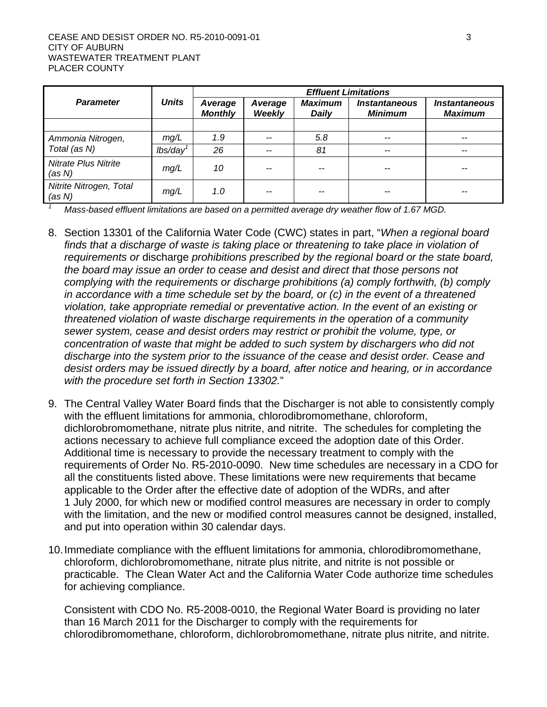|                                       |              | <b>Effluent Limitations</b> |                          |                         |                                               |                                               |  |  |  |
|---------------------------------------|--------------|-----------------------------|--------------------------|-------------------------|-----------------------------------------------|-----------------------------------------------|--|--|--|
| <b>Parameter</b>                      | <b>Units</b> | Average<br><b>Monthly</b>   | Average<br><b>Weekly</b> | <b>Maximum</b><br>Daily | <i><b>Instantaneous</b></i><br><b>Minimum</b> | <i><b>Instantaneous</b></i><br><b>Maximum</b> |  |  |  |
|                                       |              |                             |                          |                         |                                               |                                               |  |  |  |
| Ammonia Nitrogen,                     | mg/L         | 1.9                         | --                       | 5.8                     | $- -$                                         | $- -$                                         |  |  |  |
| Total (as N)                          | lbs/day      | 26                          | --                       | 81                      | $- -$                                         | $- -$                                         |  |  |  |
| <b>Nitrate Plus Nitrite</b><br>(as N) | mg/L         | 10                          | --                       |                         |                                               |                                               |  |  |  |
| Nitrite Nitrogen, Total<br>(as N)     | mg/L         | 1.0                         |                          |                         |                                               | --                                            |  |  |  |

 *Mass-based effluent limitations are based on a permitted average dry weather flow of 1.67 MGD.* 

- 8. Section 13301 of the California Water Code (CWC) states in part, "*When a regional board finds that a discharge of waste is taking place or threatening to take place in violation of requirements or* discharge *prohibitions prescribed by the regional board or the state board, the board may issue an order to cease and desist and direct that those persons not complying with the requirements or discharge prohibitions (a) comply forthwith, (b) comply in accordance with a time schedule set by the board, or (c) in the event of a threatened violation, take appropriate remedial or preventative action. In the event of an existing or threatened violation of waste discharge requirements in the operation of a community sewer system, cease and desist orders may restrict or prohibit the volume, type, or concentration of waste that might be added to such system by dischargers who did not discharge into the system prior to the issuance of the cease and desist order. Cease and desist orders may be issued directly by a board, after notice and hearing, or in accordance with the procedure set forth in Section 13302.*"
- 9. The Central Valley Water Board finds that the Discharger is not able to consistently comply with the effluent limitations for ammonia, chlorodibromomethane, chloroform, dichlorobromomethane, nitrate plus nitrite, and nitrite. The schedules for completing the actions necessary to achieve full compliance exceed the adoption date of this Order. Additional time is necessary to provide the necessary treatment to comply with the requirements of Order No. R5-2010-0090. New time schedules are necessary in a CDO for all the constituents listed above. These limitations were new requirements that became applicable to the Order after the effective date of adoption of the WDRs, and after 1 July 2000, for which new or modified control measures are necessary in order to comply with the limitation, and the new or modified control measures cannot be designed, installed, and put into operation within 30 calendar days.
- 10. Immediate compliance with the effluent limitations for ammonia, chlorodibromomethane, chloroform, dichlorobromomethane, nitrate plus nitrite, and nitrite is not possible or practicable. The Clean Water Act and the California Water Code authorize time schedules for achieving compliance.

Consistent with CDO No. R5-2008-0010, the Regional Water Board is providing no later than 16 March 2011 for the Discharger to comply with the requirements for chlorodibromomethane, chloroform, dichlorobromomethane, nitrate plus nitrite, and nitrite.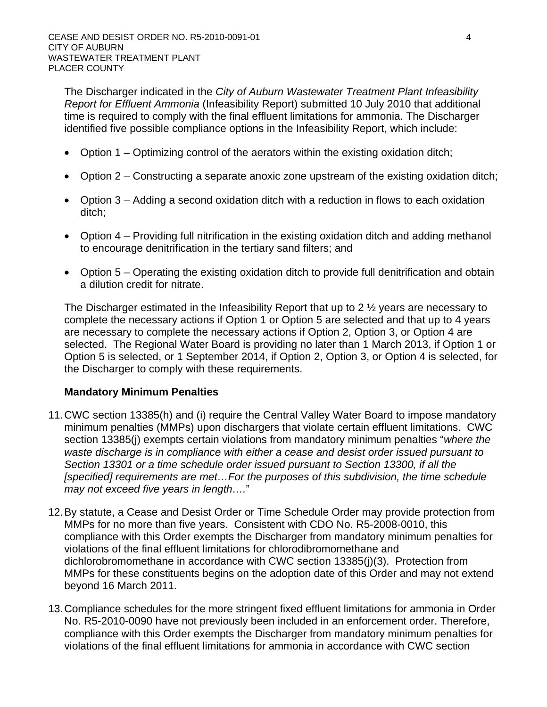The Discharger indicated in the *City of Auburn Wastewater Treatment Plant Infeasibility Report for Effluent Ammonia* (Infeasibility Report) submitted 10 July 2010 that additional time is required to comply with the final effluent limitations for ammonia. The Discharger identified five possible compliance options in the Infeasibility Report, which include:

- Option 1 Optimizing control of the aerators within the existing oxidation ditch;
- Option 2 Constructing a separate anoxic zone upstream of the existing oxidation ditch;
- Option 3 Adding a second oxidation ditch with a reduction in flows to each oxidation ditch;
- Option 4 Providing full nitrification in the existing oxidation ditch and adding methanol to encourage denitrification in the tertiary sand filters; and
- Option 5 Operating the existing oxidation ditch to provide full denitrification and obtain a dilution credit for nitrate.

The Discharger estimated in the Infeasibility Report that up to 2 ½ years are necessary to complete the necessary actions if Option 1 or Option 5 are selected and that up to 4 years are necessary to complete the necessary actions if Option 2, Option 3, or Option 4 are selected. The Regional Water Board is providing no later than 1 March 2013, if Option 1 or Option 5 is selected, or 1 September 2014, if Option 2, Option 3, or Option 4 is selected, for the Discharger to comply with these requirements.

### **Mandatory Minimum Penalties**

- 11. CWC section 13385(h) and (i) require the Central Valley Water Board to impose mandatory minimum penalties (MMPs) upon dischargers that violate certain effluent limitations. CWC section 13385(j) exempts certain violations from mandatory minimum penalties "*where the waste discharge is in compliance with either a cease and desist order issued pursuant to Section 13301 or a time schedule order issued pursuant to Section 13300, if all the [specified] requirements are met…For the purposes of this subdivision, the time schedule may not exceed five years in length….*"
- 12. By statute, a Cease and Desist Order or Time Schedule Order may provide protection from MMPs for no more than five years. Consistent with CDO No. R5-2008-0010, this compliance with this Order exempts the Discharger from mandatory minimum penalties for violations of the final effluent limitations for chlorodibromomethane and dichlorobromomethane in accordance with CWC section 13385(j)(3). Protection from MMPs for these constituents begins on the adoption date of this Order and may not extend beyond 16 March 2011.
- 13. Compliance schedules for the more stringent fixed effluent limitations for ammonia in Order No. R5-2010-0090 have not previously been included in an enforcement order. Therefore, compliance with this Order exempts the Discharger from mandatory minimum penalties for violations of the final effluent limitations for ammonia in accordance with CWC section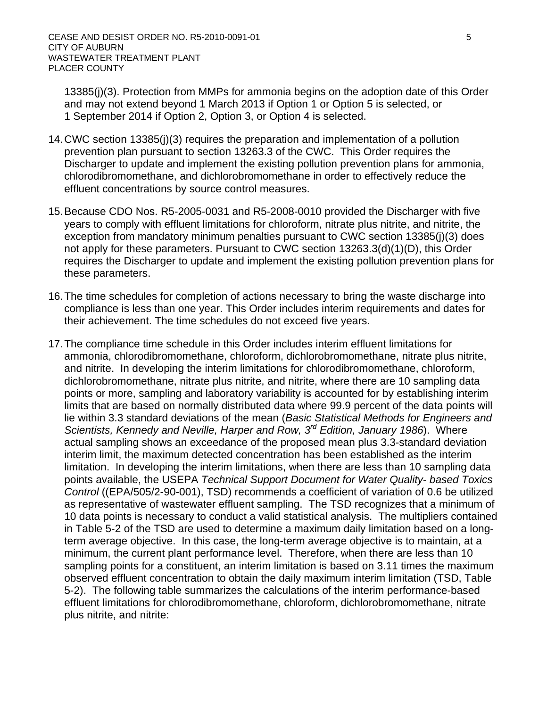13385(j)(3). Protection from MMPs for ammonia begins on the adoption date of this Order and may not extend beyond 1 March 2013 if Option 1 or Option 5 is selected, or 1 September 2014 if Option 2, Option 3, or Option 4 is selected.

- 14. CWC section 13385(j)(3) requires the preparation and implementation of a pollution prevention plan pursuant to section 13263.3 of the CWC. This Order requires the Discharger to update and implement the existing pollution prevention plans for ammonia, chlorodibromomethane, and dichlorobromomethane in order to effectively reduce the effluent concentrations by source control measures.
- 15. Because CDO Nos. R5-2005-0031 and R5-2008-0010 provided the Discharger with five years to comply with effluent limitations for chloroform, nitrate plus nitrite, and nitrite, the exception from mandatory minimum penalties pursuant to CWC section 13385(j)(3) does not apply for these parameters. Pursuant to CWC section 13263.3(d)(1)(D), this Order requires the Discharger to update and implement the existing pollution prevention plans for these parameters.
- 16. The time schedules for completion of actions necessary to bring the waste discharge into compliance is less than one year. This Order includes interim requirements and dates for their achievement. The time schedules do not exceed five years.
- 17. The compliance time schedule in this Order includes interim effluent limitations for ammonia, chlorodibromomethane, chloroform, dichlorobromomethane, nitrate plus nitrite, and nitrite. In developing the interim limitations for chlorodibromomethane, chloroform, dichlorobromomethane, nitrate plus nitrite, and nitrite, where there are 10 sampling data points or more, sampling and laboratory variability is accounted for by establishing interim limits that are based on normally distributed data where 99.9 percent of the data points will lie within 3.3 standard deviations of the mean (*Basic Statistical Methods for Engineers and Scientists, Kennedy and Neville, Harper and Row, 3rd Edition, January 1986*). Where actual sampling shows an exceedance of the proposed mean plus 3.3-standard deviation interim limit, the maximum detected concentration has been established as the interim limitation. In developing the interim limitations, when there are less than 10 sampling data points available, the USEPA *Technical Support Document for Water Quality- based Toxics Control* ((EPA/505/2-90-001), TSD) recommends a coefficient of variation of 0.6 be utilized as representative of wastewater effluent sampling. The TSD recognizes that a minimum of 10 data points is necessary to conduct a valid statistical analysis. The multipliers contained in Table 5-2 of the TSD are used to determine a maximum daily limitation based on a longterm average objective. In this case, the long-term average objective is to maintain, at a minimum, the current plant performance level. Therefore, when there are less than 10 sampling points for a constituent, an interim limitation is based on 3.11 times the maximum observed effluent concentration to obtain the daily maximum interim limitation (TSD, Table 5-2). The following table summarizes the calculations of the interim performance-based effluent limitations for chlorodibromomethane, chloroform, dichlorobromomethane, nitrate plus nitrite, and nitrite: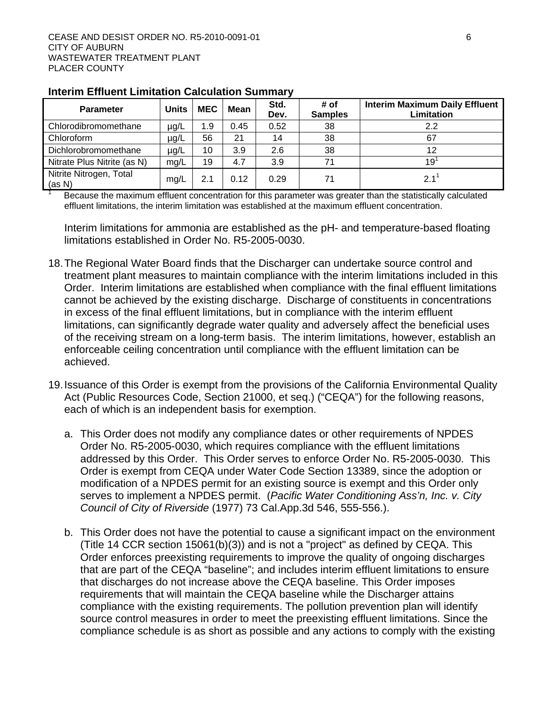| <b>Parameter</b>                  | <b>Units</b> | <b>MEC</b> | Mean | Std.<br>Dev. | # of<br><b>Samples</b> | <b>Interim Maximum Daily Effluent</b><br>Limitation |
|-----------------------------------|--------------|------------|------|--------------|------------------------|-----------------------------------------------------|
| Chlorodibromomethane              | $\mu$ g/L    | 1.9        | 0.45 | 0.52         | 38                     | 2.2                                                 |
| Chloroform                        | $\mu$ g/L    | 56         | 21   | 14           | 38                     | 67                                                  |
| Dichlorobromomethane              | $\mu$ g/L    | 10         | 3.9  | 2.6          | 38                     | 12                                                  |
| Nitrate Plus Nitrite (as N)       | mg/L         | 19         | 4.7  | 3.9          | 71                     | 19 <sup>1</sup>                                     |
| Nitrite Nitrogen, Total<br>(as N) | mg/L         | 2.1        | 0.12 | 0.29         | 71                     | 2.1                                                 |

### **Interim Effluent Limitation Calculation Summary**

 $1$  Because the maximum effluent concentration for this parameter was greater than the statistically calculated effluent limitations, the interim limitation was established at the maximum effluent concentration.

Interim limitations for ammonia are established as the pH- and temperature-based floating limitations established in Order No. R5-2005-0030.

- 18. The Regional Water Board finds that the Discharger can undertake source control and treatment plant measures to maintain compliance with the interim limitations included in this Order. Interim limitations are established when compliance with the final effluent limitations cannot be achieved by the existing discharge. Discharge of constituents in concentrations in excess of the final effluent limitations, but in compliance with the interim effluent limitations, can significantly degrade water quality and adversely affect the beneficial uses of the receiving stream on a long-term basis. The interim limitations, however, establish an enforceable ceiling concentration until compliance with the effluent limitation can be achieved.
- 19. Issuance of this Order is exempt from the provisions of the California Environmental Quality Act (Public Resources Code, Section 21000, et seq.) ("CEQA") for the following reasons, each of which is an independent basis for exemption.
	- a. This Order does not modify any compliance dates or other requirements of NPDES Order No. R5-2005-0030, which requires compliance with the effluent limitations addressed by this Order. This Order serves to enforce Order No. R5-2005-0030. This Order is exempt from CEQA under Water Code Section 13389, since the adoption or modification of a NPDES permit for an existing source is exempt and this Order only serves to implement a NPDES permit. (*Pacific Water Conditioning Ass'n, Inc. v. City Council of City of Riverside* (1977) 73 Cal.App.3d 546, 555-556.).
	- b. This Order does not have the potential to cause a significant impact on the environment (Title 14 CCR section 15061(b)(3)) and is not a "project" as defined by CEQA. This Order enforces preexisting requirements to improve the quality of ongoing discharges that are part of the CEQA "baseline"; and includes interim effluent limitations to ensure that discharges do not increase above the CEQA baseline. This Order imposes requirements that will maintain the CEQA baseline while the Discharger attains compliance with the existing requirements. The pollution prevention plan will identify source control measures in order to meet the preexisting effluent limitations. Since the compliance schedule is as short as possible and any actions to comply with the existing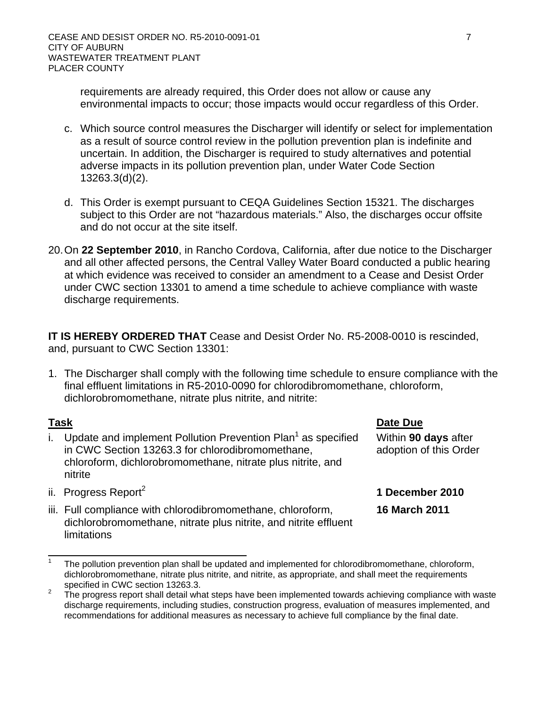requirements are already required, this Order does not allow or cause any environmental impacts to occur; those impacts would occur regardless of this Order.

- c. Which source control measures the Discharger will identify or select for implementation as a result of source control review in the pollution prevention plan is indefinite and uncertain. In addition, the Discharger is required to study alternatives and potential adverse impacts in its pollution prevention plan, under Water Code Section 13263.3(d)(2).
- d. This Order is exempt pursuant to CEQA Guidelines Section 15321. The discharges subject to this Order are not "hazardous materials." Also, the discharges occur offsite and do not occur at the site itself.
- 20. On **22 September 2010**, in Rancho Cordova, California, after due notice to the Discharger and all other affected persons, the Central Valley Water Board conducted a public hearing at which evidence was received to consider an amendment to a Cease and Desist Order under CWC section 13301 to amend a time schedule to achieve compliance with waste discharge requirements.

**IT IS HEREBY ORDERED THAT** Cease and Desist Order No. R5-2008-0010 is rescinded, and, pursuant to CWC Section 13301:

1. The Discharger shall comply with the following time schedule to ensure compliance with the final effluent limitations in R5-2010-0090 for chlorodibromomethane, chloroform, dichlorobromomethane, nitrate plus nitrite, and nitrite:

- i. Update and implement Pollution Prevention Plan<sup>1</sup> as specified in CWC Section 13263.3 for chlorodibromomethane, chloroform, dichlorobromomethane, nitrate plus nitrite, and nitrite
- **Task Date Due**

**16 March 2011** 

Within **90 days** after adoption of this Order

- ii. Progress Report<sup>2</sup> **1 December 2010**
- iii. Full compliance with chlorodibromomethane, chloroform, dichlorobromomethane, nitrate plus nitrite, and nitrite effluent limitations

<sup>1</sup> The pollution prevention plan shall be updated and implemented for chlorodibromomethane, chloroform, dichlorobromomethane, nitrate plus nitrite, and nitrite, as appropriate, and shall meet the requirements specified in CWC section 13263.3.

The progress report shall detail what steps have been implemented towards achieving compliance with waste discharge requirements, including studies, construction progress, evaluation of measures implemented, and recommendations for additional measures as necessary to achieve full compliance by the final date.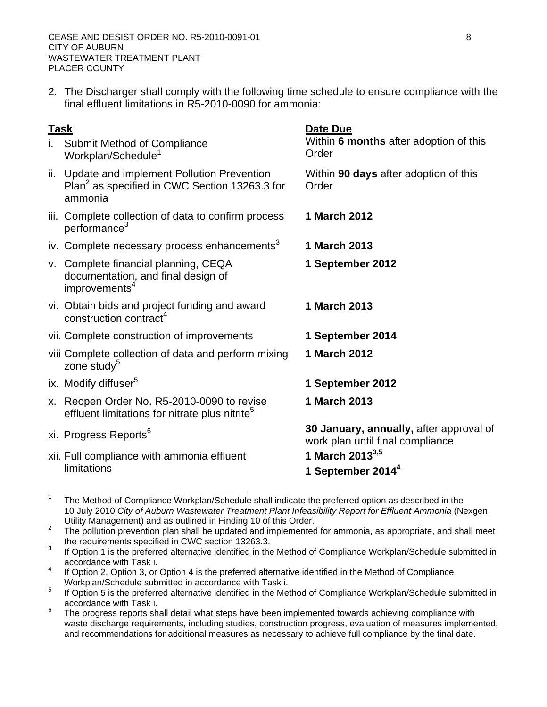2. The Discharger shall comply with the following time schedule to ensure compliance with the final effluent limitations in R5-2010-0090 for ammonia:

| i. Submit Method of Compliance |
|--------------------------------|
| Workplan/Schedule <sup>1</sup> |

- ii. Update and implement Pollution Prevention Plan<sup>2</sup> as specified in CWC Section 13263.3 for ammonia
- iii. Complete collection of data to confirm process performance<sup>3</sup>
- iv. Complete necessary process enhancements<sup>3</sup> 1 March 2013
- v. Complete financial planning, CEQA documentation, and final design of improvements<sup>4</sup>
- vi. Obtain bids and project funding and award construction contract<sup>4</sup>
- vii. Complete construction of improvements **1 September 2014**
- viii Complete collection of data and perform mixing zone study $5$
- 
- x. Reopen Order No. R5-2010-0090 to revise effluent limitations for nitrate plus nitrite $5$
- 

xii. Full compliance with ammonia effluent limitations

**Task Date Due** 

Within **6 months** after adoption of this Order

Within **90 days** after adoption of this **Order** 

- **1 March 2012**
- - **1 September 2012**
	- **1 March 2013**
- 
- **1 March 2012**
- ix. Modify diffuser5 **1 September 2012** 
	- **1 March 2013**

xi. Progress Reports6 **30 January, annually,** after approval of work plan until final compliance

- **1 March 20133,5**
- **1 September 20144**

<sup>1</sup> The Method of Compliance Workplan/Schedule shall indicate the preferred option as described in the 10 July 2010 *City of Auburn Wastewater Treatment Plant Infeasibility Report for Effluent Ammonia* (Nexgen

Utility Management) and as outlined in Finding 10 of this Order.<br><sup>2</sup> The pollution prevention plan shall be updated and implemented for ammonia, as appropriate, and shall meet the requirements specified in CWC section 13263.3.

If Option 1 is the preferred alternative identified in the Method of Compliance Workplan/Schedule submitted in accordance with Task i.

<sup>4</sup> If Option 2, Option 3, or Option 4 is the preferred alternative identified in the Method of Compliance Workplan/Schedule submitted in accordance with Task i.

<sup>5</sup> If Option 5 is the preferred alternative identified in the Method of Compliance Workplan/Schedule submitted in accordance with Task i.

<sup>6</sup> The progress reports shall detail what steps have been implemented towards achieving compliance with waste discharge requirements, including studies, construction progress, evaluation of measures implemented, and recommendations for additional measures as necessary to achieve full compliance by the final date.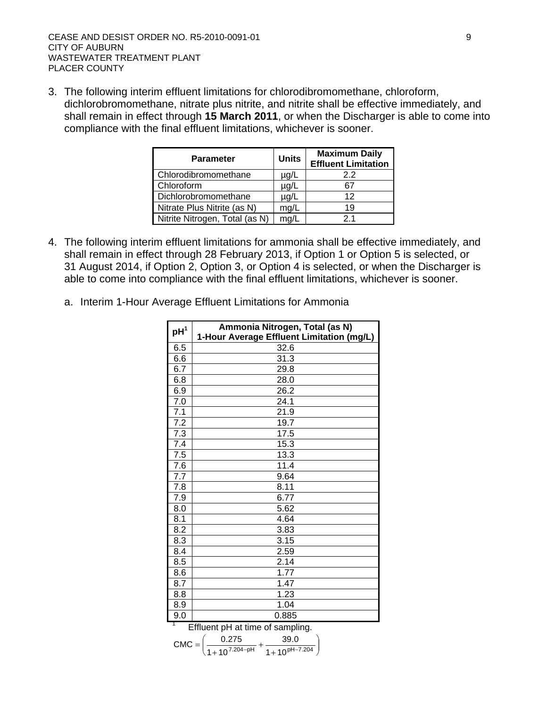3. The following interim effluent limitations for chlorodibromomethane, chloroform, dichlorobromomethane, nitrate plus nitrite, and nitrite shall be effective immediately, and shall remain in effect through **15 March 2011**, or when the Discharger is able to come into compliance with the final effluent limitations, whichever is sooner.

| <b>Parameter</b>               | <b>Units</b> | <b>Maximum Daily</b><br><b>Effluent Limitation</b> |
|--------------------------------|--------------|----------------------------------------------------|
| Chlorodibromomethane           | $\mu$ g/L    | 2.2                                                |
| Chloroform                     | $\mu$ g/L    | 67                                                 |
| Dichlorobromomethane           | µg/L         | 12                                                 |
| Nitrate Plus Nitrite (as N)    | mg/L         | 19                                                 |
| Nitrite Nitrogen, Total (as N) | ma/l         | 21                                                 |

- 4. The following interim effluent limitations for ammonia shall be effective immediately, and shall remain in effect through 28 February 2013, if Option 1 or Option 5 is selected, or 31 August 2014, if Option 2, Option 3, or Option 4 is selected, or when the Discharger is able to come into compliance with the final effluent limitations, whichever is sooner.
	- a. Interim 1-Hour Average Effluent Limitations for Ammonia

| $pH^1$ | Ammonia Nitrogen, Total (as N)<br>1-Hour Average Effluent Limitation (mg/L) |  |  |  |  |  |  |  |  |
|--------|-----------------------------------------------------------------------------|--|--|--|--|--|--|--|--|
| 6.5    | 32.6                                                                        |  |  |  |  |  |  |  |  |
| 6.6    | 31.3                                                                        |  |  |  |  |  |  |  |  |
| 6.7    | 29.8                                                                        |  |  |  |  |  |  |  |  |
| 6.8    | 28.0                                                                        |  |  |  |  |  |  |  |  |
| 6.9    | 26.2                                                                        |  |  |  |  |  |  |  |  |
| 7.0    | 24.1                                                                        |  |  |  |  |  |  |  |  |
| 7.1    | 21.9                                                                        |  |  |  |  |  |  |  |  |
| 7.2    | 19.7                                                                        |  |  |  |  |  |  |  |  |
| 7.3    | 17.5                                                                        |  |  |  |  |  |  |  |  |
| 7.4    | 15.3                                                                        |  |  |  |  |  |  |  |  |
| 7.5    | 13.3                                                                        |  |  |  |  |  |  |  |  |
| 7.6    | 11.4                                                                        |  |  |  |  |  |  |  |  |
| 7.7    | 9.64                                                                        |  |  |  |  |  |  |  |  |
| 7.8    | 8.11                                                                        |  |  |  |  |  |  |  |  |
| 7.9    | 6.77                                                                        |  |  |  |  |  |  |  |  |
| 8.0    | 5.62                                                                        |  |  |  |  |  |  |  |  |
| 8.1    | 4.64                                                                        |  |  |  |  |  |  |  |  |
| 8.2    | 3.83                                                                        |  |  |  |  |  |  |  |  |
| 8.3    | 3.15                                                                        |  |  |  |  |  |  |  |  |
| 8.4    | 2.59                                                                        |  |  |  |  |  |  |  |  |
| 8.5    | 2.14                                                                        |  |  |  |  |  |  |  |  |
| 8.6    | 1.77                                                                        |  |  |  |  |  |  |  |  |
| 8.7    | 1.47                                                                        |  |  |  |  |  |  |  |  |
| 8.8    | 1.23                                                                        |  |  |  |  |  |  |  |  |
| 8.9    | 1.04                                                                        |  |  |  |  |  |  |  |  |
| 9.0    | 0.885                                                                       |  |  |  |  |  |  |  |  |
| 1      | Effluent pH at time of sampling.                                            |  |  |  |  |  |  |  |  |
|        | (0.27C)<br>$\Omega$                                                         |  |  |  |  |  |  |  |  |

$$
CMC = \left(\frac{0.275}{1 + 10^{7.204 - pH}} + \frac{39.0}{1 + 10^{pH - 7.204}}\right)
$$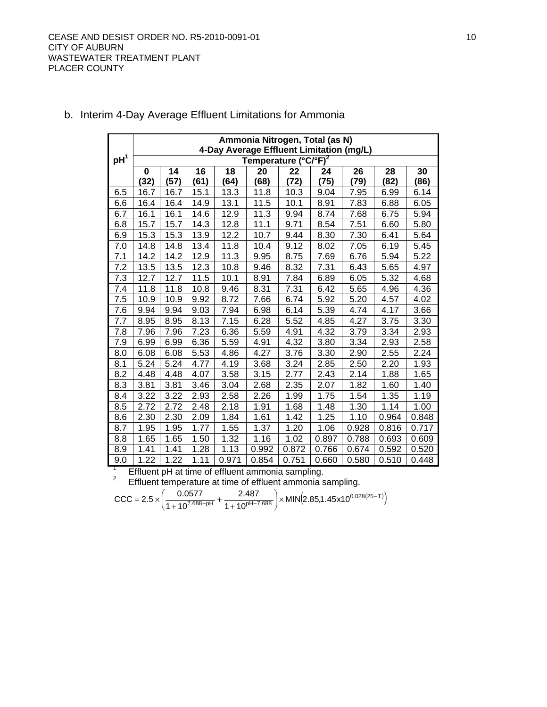|                 | Ammonia Nitrogen, Total (as N)<br>4-Day Average Effluent Limitation (mg/L) |      |      |       |                                  |       |       |       |       |       |  |
|-----------------|----------------------------------------------------------------------------|------|------|-------|----------------------------------|-------|-------|-------|-------|-------|--|
| pH <sup>1</sup> |                                                                            |      |      |       | Temperature (°C/°F) <sup>2</sup> |       |       |       |       |       |  |
|                 | $\bf{0}$                                                                   | 14   | 16   | 18    | 20                               | 22    | 24    | 26    | 28    | 30    |  |
|                 | (32)                                                                       | (57) | (61) | (64)  | (68)                             | (72)  | (75)  | (79)  | (82)  | (86)  |  |
| 6.5             | 16.7                                                                       | 16.7 | 15.1 | 13.3  | 11.8                             | 10.3  | 9.04  | 7.95  | 6.99  | 6.14  |  |
| 6.6             | 16.4                                                                       | 16.4 | 14.9 | 13.1  | 11.5                             | 10.1  | 8.91  | 7.83  | 6.88  | 6.05  |  |
| 6.7             | 16.1                                                                       | 16.1 | 14.6 | 12.9  | 11.3                             | 9.94  | 8.74  | 7.68  | 6.75  | 5.94  |  |
| 6.8             | 15.7                                                                       | 15.7 | 14.3 | 12.8  | 11.1                             | 9.71  | 8.54  | 7.51  | 6.60  | 5.80  |  |
| 6.9             | 15.3                                                                       | 15.3 | 13.9 | 12.2  | 10.7                             | 9.44  | 8.30  | 7.30  | 6.41  | 5.64  |  |
| 7.0             | 14.8                                                                       | 14.8 | 13.4 | 11.8  | 10.4                             | 9.12  | 8.02  | 7.05  | 6.19  | 5.45  |  |
| 7.1             | 14.2                                                                       | 14.2 | 12.9 | 11.3  | 9.95                             | 8.75  | 7.69  | 6.76  | 5.94  | 5.22  |  |
| 7.2             | 13.5                                                                       | 13.5 | 12.3 | 10.8  | 9.46                             | 8.32  | 7.31  | 6.43  | 5.65  | 4.97  |  |
| 7.3             | 12.7                                                                       | 12.7 | 11.5 | 10.1  | 8.91                             | 7.84  | 6.89  | 6.05  | 5.32  | 4.68  |  |
| 7.4             | 11.8                                                                       | 11.8 | 10.8 | 9.46  | 8.31                             | 7.31  | 6.42  | 5.65  | 4.96  | 4.36  |  |
| 7.5             | 10.9                                                                       | 10.9 | 9.92 | 8.72  | 7.66                             | 6.74  | 5.92  | 5.20  | 4.57  | 4.02  |  |
| 7.6             | 9.94                                                                       | 9.94 | 9.03 | 7.94  | 6.98                             | 6.14  | 5.39  | 4.74  | 4.17  | 3.66  |  |
| 7.7             | 8.95                                                                       | 8.95 | 8.13 | 7.15  | 6.28                             | 5.52  | 4.85  | 4.27  | 3.75  | 3.30  |  |
| 7.8             | 7.96                                                                       | 7.96 | 7.23 | 6.36  | 5.59                             | 4.91  | 4.32  | 3.79  | 3.34  | 2.93  |  |
| 7.9             | 6.99                                                                       | 6.99 | 6.36 | 5.59  | 4.91                             | 4.32  | 3.80  | 3.34  | 2.93  | 2.58  |  |
| 8.0             | 6.08                                                                       | 6.08 | 5.53 | 4.86  | 4.27                             | 3.76  | 3.30  | 2.90  | 2.55  | 2.24  |  |
| 8.1             | 5.24                                                                       | 5.24 | 4.77 | 4.19  | 3.68                             | 3.24  | 2.85  | 2.50  | 2.20  | 1.93  |  |
| 8.2             | 4.48                                                                       | 4.48 | 4.07 | 3.58  | 3.15                             | 2.77  | 2.43  | 2.14  | 1.88  | 1.65  |  |
| 8.3             | 3.81                                                                       | 3.81 | 3.46 | 3.04  | 2.68                             | 2.35  | 2.07  | 1.82  | 1.60  | 1.40  |  |
| 8.4             | 3.22                                                                       | 3.22 | 2.93 | 2.58  | 2.26                             | 1.99  | 1.75  | 1.54  | 1.35  | 1.19  |  |
| 8.5             | 2.72                                                                       | 2.72 | 2.48 | 2.18  | 1.91                             | 1.68  | 1.48  | 1.30  | 1.14  | 1.00  |  |
| 8.6             | 2.30                                                                       | 2.30 | 2.09 | 1.84  | 1.61                             | 1.42  | 1.25  | 1.10  | 0.964 | 0.848 |  |
| 8.7             | 1.95                                                                       | 1.95 | 1.77 | 1.55  | 1.37                             | 1.20  | 1.06  | 0.928 | 0.816 | 0.717 |  |
| 8.8             | 1.65                                                                       | 1.65 | 1.50 | 1.32  | 1.16                             | 1.02  | 0.897 | 0.788 | 0.693 | 0.609 |  |
| 8.9             | 1.41                                                                       | 1.41 | 1.28 | 1.13  | 0.992                            | 0.872 | 0.766 | 0.674 | 0.592 | 0.520 |  |
| 9.0             | 1.22                                                                       | 1.22 | 1.11 | 0.971 | 0.854                            | 0.751 | 0.660 | 0.580 | 0.510 | 0.448 |  |

# b. Interim 4-Day Average Effluent Limitations for Ammonia

Effluent pH at time of effluent ammonia sampling.<br> $\frac{2}{3}$  Effluent temperature at time of effluent emmonia s

Effluent temperature at time of effluent ammonia sampling.

$$
CCC = 2.5 \times \left(\frac{0.0577}{1 + 10^{7.688 - pH}} + \frac{2.487}{1 + 10^{pH - 7.688}}\right) \times MIN(2.85, 1.45 \times 10^{0.028(25 - T)})
$$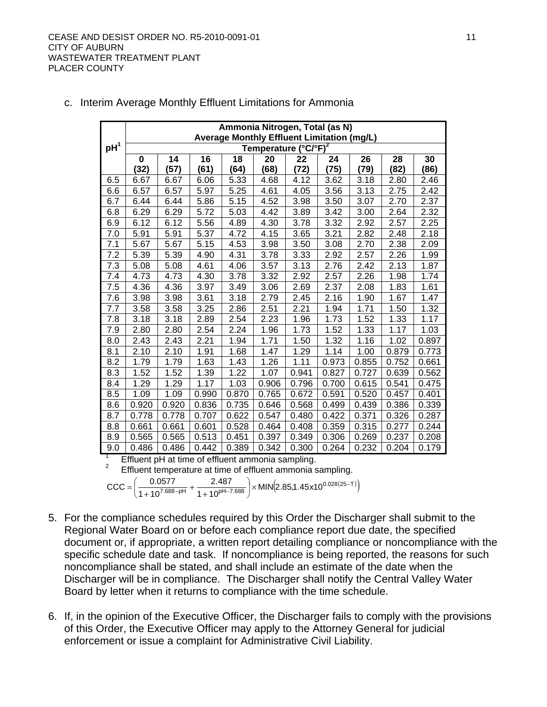|                 | Ammonia Nitrogen, Total (as N)<br>Average Monthly Effluent Limitation (mg/L) |       |       |       |                                  |       |       |       |       |       |  |  |
|-----------------|------------------------------------------------------------------------------|-------|-------|-------|----------------------------------|-------|-------|-------|-------|-------|--|--|
| pH <sup>1</sup> |                                                                              |       |       |       | Temperature (°C/°F) <sup>2</sup> |       |       |       |       |       |  |  |
|                 | $\bf{0}$                                                                     | 14    | 16    | 18    | 20                               | 22    | 24    | 26    | 28    | 30    |  |  |
|                 | (32)                                                                         | (57)  | (61)  | (64)  | (68)                             | (72)  | (75)  | (79)  | (82)  | (86)  |  |  |
| 6.5             | 6.67                                                                         | 6.67  | 6.06  | 5.33  | 4.68                             | 4.12  | 3.62  | 3.18  | 2.80  | 2.46  |  |  |
| 6.6             | 6.57                                                                         | 6.57  | 5.97  | 5.25  | 4.61                             | 4.05  | 3.56  | 3.13  | 2.75  | 2.42  |  |  |
| 6.7             | 6.44                                                                         | 6.44  | 5.86  | 5.15  | 4.52                             | 3.98  | 3.50  | 3.07  | 2.70  | 2.37  |  |  |
| 6.8             | 6.29                                                                         | 6.29  | 5.72  | 5.03  | 4.42                             | 3.89  | 3.42  | 3.00  | 2.64  | 2.32  |  |  |
| 6.9             | 6.12                                                                         | 6.12  | 5.56  | 4.89  | 4.30                             | 3.78  | 3.32  | 2.92  | 2.57  | 2.25  |  |  |
| 7.0             | 5.91                                                                         | 5.91  | 5.37  | 4.72  | 4.15                             | 3.65  | 3.21  | 2.82  | 2.48  | 2.18  |  |  |
| 7.1             | 5.67                                                                         | 5.67  | 5.15  | 4.53  | 3.98                             | 3.50  | 3.08  | 2.70  | 2.38  | 2.09  |  |  |
| 7.2             | 5.39                                                                         | 5.39  | 4.90  | 4.31  | 3.78                             | 3.33  | 2.92  | 2.57  | 2.26  | 1.99  |  |  |
| 7.3             | 5.08                                                                         | 5.08  | 4.61  | 4.06  | 3.57                             | 3.13  | 2.76  | 2.42  | 2.13  | 1.87  |  |  |
| 7.4             | 4.73                                                                         | 4.73  | 4.30  | 3.78  | 3.32                             | 2.92  | 2.57  | 2.26  | 1.98  | 1.74  |  |  |
| 7.5             | 4.36                                                                         | 4.36  | 3.97  | 3.49  | 3.06                             | 2.69  | 2.37  | 2.08  | 1.83  | 1.61  |  |  |
| 7.6             | 3.98                                                                         | 3.98  | 3.61  | 3.18  | 2.79                             | 2.45  | 2.16  | 1.90  | 1.67  | 1.47  |  |  |
| 7.7             | 3.58                                                                         | 3.58  | 3.25  | 2.86  | 2.51                             | 2.21  | 1.94  | 1.71  | 1.50  | 1.32  |  |  |
| 7.8             | 3.18                                                                         | 3.18  | 2.89  | 2.54  | 2.23                             | 1.96  | 1.73  | 1.52  | 1.33  | 1.17  |  |  |
| 7.9             | 2.80                                                                         | 2.80  | 2.54  | 2.24  | 1.96                             | 1.73  | 1.52  | 1.33  | 1.17  | 1.03  |  |  |
| 8.0             | 2.43                                                                         | 2.43  | 2.21  | 1.94  | 1.71                             | 1.50  | 1.32  | 1.16  | 1.02  | 0.897 |  |  |
| 8.1             | 2.10                                                                         | 2.10  | 1.91  | 1.68  | 1.47                             | 1.29  | 1.14  | 1.00  | 0.879 | 0.773 |  |  |
| 8.2             | 1.79                                                                         | 1.79  | 1.63  | 1.43  | 1.26                             | 1.11  | 0.973 | 0.855 | 0.752 | 0.661 |  |  |
| 8.3             | 1.52                                                                         | 1.52  | 1.39  | 1.22  | 1.07                             | 0.941 | 0.827 | 0.727 | 0.639 | 0.562 |  |  |
| 8.4             | 1.29                                                                         | 1.29  | 1.17  | 1.03  | 0.906                            | 0.796 | 0.700 | 0.615 | 0.541 | 0.475 |  |  |
| 8.5             | 1.09                                                                         | 1.09  | 0.990 | 0.870 | 0.765                            | 0.672 | 0.591 | 0.520 | 0.457 | 0.401 |  |  |
| 8.6             | 0.920                                                                        | 0.920 | 0.836 | 0.735 | 0.646                            | 0.568 | 0.499 | 0.439 | 0.386 | 0.339 |  |  |
| 8.7             | 0.778                                                                        | 0.778 | 0.707 | 0.622 | 0.547                            | 0.480 | 0.422 | 0.371 | 0.326 | 0.287 |  |  |
| 8.8             | 0.661                                                                        | 0.661 | 0.601 | 0.528 | 0.464                            | 0.408 | 0.359 | 0.315 | 0.277 | 0.244 |  |  |
| 8.9             | 0.565                                                                        | 0.565 | 0.513 | 0.451 | 0.397                            | 0.349 | 0.306 | 0.269 | 0.237 | 0.208 |  |  |
| 9.0             | 0.486                                                                        | 0.486 | 0.442 | 0.389 | 0.342                            | 0.300 | 0.264 | 0.232 | 0.204 | 0.179 |  |  |

c. Interim Average Monthly Effluent Limitations for Ammonia

<sup>1</sup> Effluent pH at time of effluent ammonia sampling.<br><sup>2</sup> Effluent temperature at time of effluent emmonia c

Effluent temperature at time of effluent ammonia sampling.

 $\frac{1577}{( 7.688 - \text{pH} )} + \frac{2.467}{( 1 + 10^{ \text{pH} - 7.688}} \times \text{MIN} (2.85, 1.45 \times 10^{0.028(25 - \text{T})})$ 2.487  $1+10$  $CCC = \left(\frac{0.0577}{1 + 10^{7.688 - pH}} + \frac{2.487}{1 + 10^{pH - 7.688}}\right) \times MIN(2.85, 1.45 \times 10^{0.028(25 - pH)}).$  $\left(\frac{0.0577}{0.057688 \text{ m}^2} + \frac{2.487}{0.0221 \text{ m}^2 \cdot 2.088} \right)$ ⎝ ⎛ +  $=\left(\frac{6.6611}{1+10^{7.688-pH}}+ \right)$ 

- 5. For the compliance schedules required by this Order the Discharger shall submit to the Regional Water Board on or before each compliance report due date, the specified document or, if appropriate, a written report detailing compliance or noncompliance with the specific schedule date and task. If noncompliance is being reported, the reasons for such noncompliance shall be stated, and shall include an estimate of the date when the Discharger will be in compliance. The Discharger shall notify the Central Valley Water Board by letter when it returns to compliance with the time schedule.
- 6. If, in the opinion of the Executive Officer, the Discharger fails to comply with the provisions of this Order, the Executive Officer may apply to the Attorney General for judicial enforcement or issue a complaint for Administrative Civil Liability.